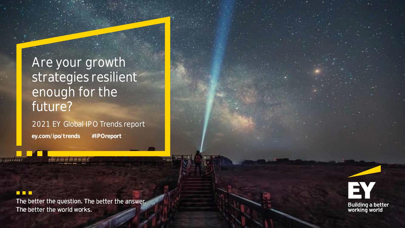# Are your growth strategies resilient enough for the future?

2021 EY Global IPO Trends report **ey.com/ipo/trends #IPOreport**

### **RR 18**

The better the question. The better the answer. The better the world works.

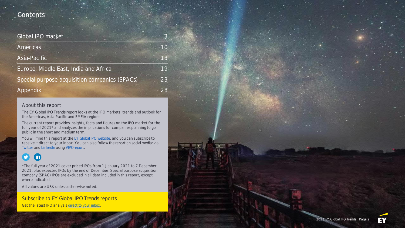### Contents

| Global IPO market                             |    |                |
|-----------------------------------------------|----|----------------|
| <b>Americas</b>                               |    | 1 <sub>O</sub> |
| Asia-Pacific                                  |    | 13             |
| Europe, Middle East, India and Africa         | 19 |                |
| Special purpose acquisition companies (SPACs) | 23 |                |
| Appendix                                      |    | 28             |

#### About this report

The *EY Global IPO Trends* report looks at the IPO markets, trends and outlook for the Americas, Asia-Pacific and EMEIA regions.

The current report provides insights, facts and figures on the IPO market **for the full year of 2021\*** and analyzes the implications for companies planning to go public in the short and medium term.

You will find this report at the [EY Global IPO website,](http://www.ey.com/ipo/trends) and you can subscribe to receive it direct to your inbox. You can also follow the report on social media: via [Twitter](https://twitter.com/search?q=) and [LinkedIn](https://www.linkedin.com/search/results/content/?keywords=) using [#IPOreport.](https://twitter.com/search?q=)

#### **y (in)**

\*The full year of 2021 cover priced IPOs from 1 January 2021 to 7 December 2021, plus expected IPOs by the end of December. Special purpose acquisition company (SPAC) IPOs are excluded in all data included in this report, except where indicated.

**All values are US\$ unless otherwise noted.**

Subscribe to *EY Global IPO Trends* reports Get the latest IPO analysis [direct to your inbox.](https://www.ey.com/en_gl/forms/subscribe-for-quarterly-ipo-trends-reports)

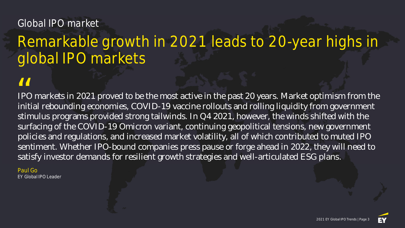# Global IPO market

# Remarkable growth in 2021 leads to 20-year highs in global IPO markets

IPO markets in 2021 proved to be the most active in the past 20 years. Market optimism from the initial rebounding economies, COVID-19 vaccine rollouts and rolling liquidity from government stimulus programs provided strong tailwinds. In Q4 2021, however, the winds shifted with the surfacing of the COVID-19 Omicron variant, continuing geopolitical tensions, new government policies and regulations, and increased market volatility, all of which contributed to muted IPO sentiment. Whether IPO-bound companies press pause or forge ahead in 2022, they will need to satisfy investor demands for resilient growth strategies and well-articulated ESG plans. *II*<br>
IPC<br>
init

Paul Go EY Global IPO Leader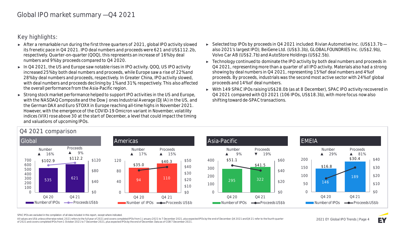**Key highlights:**

- ► After a remarkable run during the first three quarters of 2021, global IPO activity slowed its frenetic pace in Q4 2021. IPO deal numbers and proceeds were 621 and US\$112.2b, respectively. Quarter-on-quarter (QOQ), this represents an increase of 16% by deal numbers and 9% by proceeds compared to Q4 2020.
- ► In Q4 2021, the US and Europe saw notable rises in IPO activity. QOQ, US IPO activity increased 25% by both deal numbers and proceeds, while Europe saw a rise of 22% and 28% by deal numbers and proceeds, respectively. In Greater China, IPO activity slowed, with deal numbers and proceeds declining by 1% and 31%, respectively. This also affected the overall performance from the Asia-Pacific region.
- ► Strong stock market performance helped to support IPO activities in the US and Europe, with the NASDAQ Composite and the Dow Jones Industrial Average (DJIA) in the US, and the German DAX and Euro STOXX in Europe reaching all-time highs in November 2021. However, with the emergence of the COVID-19 Omicron variant in November, volatility indices (VIX) rose above 30 at the start of December, a level that could impact the timing and valuations of upcoming IPOs.
- ► Selected top IPOs by proceeds in Q4 2021 included: Rivian Automotive Inc. (US\$13.7b also 2021's largest IPO); BeiGene Ltd. (US\$3.3b), GLOBALFOUNDRIES Inc. (US\$2.9b), Volvo Car AB (US\$2.7b) and AutoStore Holdings (US\$2.5b).
- ► Technology continued to dominate the IPO activity by both deal numbers and proceeds in Q4 2021, representing more than a quarter of all IPO activity. Materials also had a strong showing by deal numbers in Q4 2021, representing 15% of deal numbers and 4% of proceeds. By proceeds, industrials was the second most active sector with 24% of global proceeds and 14% of deal numbers.
- ► With 149 SPAC IPOs raising US\$28.0b (as at 8 December), SPAC IPO activity recovered in Q4 2021 compared with Q3 2021 (106 IPOs, US\$18.3b), with more focus now also shifting toward de-SPAC transactions.



**Q4 2021 comparison**

SPAC IPOs are excluded in the compilation of all data included in this report, except where indicated.

All values are US\$ unless otherwise noted. 2021 refers to the full year of 2021 and covers completed IPOs from 1 January 2021 to 7 December 2021, plus expected IPOs by the end of December. Q4 2021 and Q4 21 refer to the fo of 2021 and covers completed IPOs from 1 October 2021 to 7 December 2021, plus expected IPOs by the end of December. Data as of COB 7 December 2021.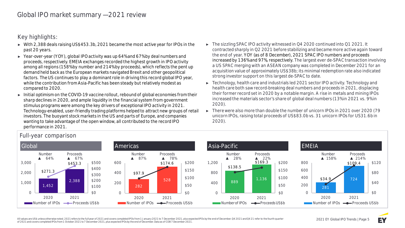**Key highlights:**

- ► With 2,388 deals raising US\$453.3b, 2021 became the most active year for IPOs in the past 20 years.
- ► Year-over-year (YOY), global IPO activity was up 64% and 67% by deal numbers and proceeds, respectively. EMEIA exchanges recorded the highest growth in IPO activity among all regions (158% by number and 214% by proceeds), which reflects the pent up demand held back as the European markets navigated Brexit and other geopolitical factors. The US continues to play a dominant role in driving this record global IPO year, while the contribution from Asia-Pacific has been steady but relatively modest as compared to 2020.
- ► Initial optimism on the COVID-19 vaccine rollout, rebound of global economies from their sharp declines in 2020, and ample liquidity in the financial system from government stimulus programs were among the key drivers of exceptional IPO activity in 2021. Technology-enabled, user-friendly trading platforms helped to attract new groups of retail investors. The buoyant stock markets in the US and parts of Europe, and companies wanting to take advantage of the open window, all contributed to the record IPO performance in 2021.
- ► The sizzling SPAC IPO activity witnessed in Q4 2020 continued into Q1 2021. It contracted sharply in Q2 2021 before stabilizing and became more active again toward the end of year. YOY (as of 8 December), 2021 SPAC IPO numbers and proceeds increased by 136% and 97%, respectively. The largest ever de-SPAC transaction involving a US SPAC merging with an ASEAN company was completed in December 2021 for an acquisition value of approximately US\$38b; its minimal redemption rate also indicated strong investor support on this largest de-SPAC to date.
- ► Technology, health care and industrials led 2021 sector IPO activity. Technology and health care both saw record-breaking deal numbers and proceeds in 2021, displacing their former record set in 2020 by a notable margin. A rise in metals and mining IPOs increased the materials sector's share of global deal numbers (13% in 2021 vs. 9% in 2020).
- ► There were also more than double the number of unicorn IPOs in 2021 over 2020 (79 unicorn IPOs, raising total proceeds of US\$83.0b vs. 31 unicorn IPOs for US31.6b in 2020).



### **Full-year comparison**

All values are US\$ unless otherwise noted. 2021 refers to the full year of 2021 and covers completed IPOs from 1 January 2021 to 7 December 2021, plus expected IPOs by the end of December. 04 2021 and 04 21 refer to the fo of 2021 and covers completed IPOs from 1 October 2021 to 7 December 2021, plus expected IPOs by the end of December. Data as of COB 7 December 2021.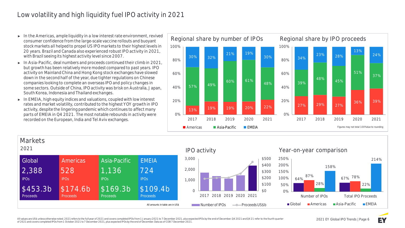# Low volatility and high liquidity fuel IPO activity in 2021

- ► **In the Americas,** ample liquidity in a low interest rate environment, revived consumer confidence from the large-scale vaccine rollouts and buoyant stock markets all helped to propel US IPO markets to their highest levels in 20 years. Brazil and Canada also experienced robust IPO activity in 2021, with Brazil seeing its highest activity level since 2007.
- ► **In Asia-Pacific,** deal numbers and proceeds continued their climb in 2021, but growth has been relatively more modest compared to past years. IPO activity on Mainland China and Hong Kong stock exchanges have slowed down in the second half of the year, due tighter regulations on Chinese companies looking to complete an overseas IPO and policy changes in some sectors. Outside of China, IPO activity was brisk on Australia, Japan, South Korea, Indonesia and Thailand exchanges.
- ► **In EMEIA,** high equity indices and valuations, coupled with low interest rates and market volatility, contributed to the highest YOY growth in IPO activity, despite the lingering pandemic which continues to affect many parts of EMEIA in Q4 2021. The most notable rebounds in activity were recorded on the European, India and Tel Aviv exchanges.





All values are US\$ unless otherwise noted. 2021 refers to the full year of 2021 and covers completed IPOs from 1 January 2021 to 7 December 2021, plus expected IPOs by the end of December. 04 2021 and 04 21 refer to the fo of 2021 and covers completed IPOs from 1 October 2021 to 7 December 2021, plus expected IPOs by the end of December. Data as of COB 7 December 2021.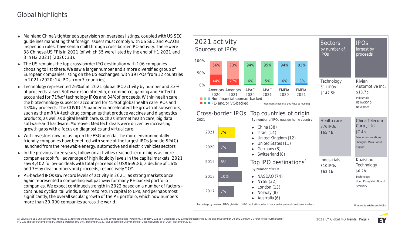# Global highlights

- ► Mainland China's tightened supervision on overseas listings, coupled with US SEC guidelines mandating that foreign issuers must comply with US SEC and PCAOB inspection rules, have sent a chill through cross-border IPO activity. There were 38 Chinese-US FPIs in 2021 (of which 35 were listed by the end of H1 2021 and 3 in H2 2021) (2020: 33).
- ► The US remains the top cross-border IPO destination with 106 companies choosing to list there. We saw a larger number and a more diversified group of European companies listing on the US exchanges, with 39 IPOs from 12 countries in 2021 (2020: 14 IPOs from 7 countries).
- ► Technology represented 26% of all 2021 global IPO activity by number and 33% of proceeds raised. Software (social media, e-commerce, gaming and FinTech) accounted for 71% of technology IPOs and 84% of proceeds. Within health care, the biotechnology subsector accounted for 45% of global health care IPOs and 43% by proceeds. The COVID-19 pandemic accelerated the growth of subsectors, such as the mRNA-tech drug companies that produce vaccines and diagnostics products, as well as digital health care, such as internet health care, big data, software and hardware. Moreover, MedTech deals were driven by increasing growth gaps with a focus on diagnostics and virtual care.
- ► With investors now focusing on the ESG agenda, the more environmentally friendly companies have benefited with some of the largest IPOs (and de-SPAC) launched from the renewable energy, automotive and electric vehicles sectors.
- ► In the previous three years, follow-on activities reached record highs as more companies took full advantage of high liquidity levels in the capital markets. 2021 saw 4,402 follow-on deals with total proceeds of US\$669.8b, a decline of 16% and 3% by deal numbers and proceeds, respectively YOY.
- ► PE-backed IPOs saw record levels of activity in 2021, as strong markets once again represented a compelling exit pathway for many PE-backed portfolio companies. We expect continued strength in 2022 based on a number of factors – continued cyclical tailwinds, a desire to return capital to LPs, and perhaps most significantly, the overall secular growth of the PE portfolio, which now numbers more than 20,000 companies across the world.



All values are US\$ unless otherwise noted. 2021 refers to the full year of 2021 and covers completed IPOs from 1 January 2021 to 7 December 2021, plus expected IPOs by the end of December. 04 2021 and 04 21 refer to the fo of 2021 and covers completed IPOs from 1 October 2021 to 7 December 2021, plus expected IPOs by the end of December. Data as of COB 7 December 2021.

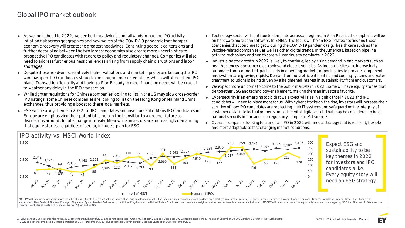### Global IPO market outlook

- ► As we look ahead to 2022, we see both headwinds and tailwinds impacting IPO activity. Inflation risk across geographies and new waves of the COVID-19 pandemic that hamper economic recovery will create the greatest headwinds. Continuing geopolitical tensions and further decoupling between the two largest economies also create more uncertainties to prospective IPO candidates with regard to policy and regulatory changes. Companies will also need to address further business challenges arising from supply chain disruptions and labor shortages.
- ► Despite these headwinds, relatively higher valuations and market liquidity are keeping the IPO window open. IPO candidates should expect higher market volatility, which will affect their IPO plans. Transaction flexibility and having a Plan B ready to meet financing needs will be crucial to weather any delay in the IPO transaction.
- ► While tighter regulations for Chinese companies looking to list in the US may slow cross-border IPO listings, some Chinese companies are looking to list on the Hong Kong or Mainland China exchanges, thus providing a boost to these local markets.
- ► ESG will be a key theme in 2022 for IPO candidates and investors alike. Many IPO candidates in Europe are emphasizing their potential to help in the transition to a greener future as discussions around climate change intensify. Meanwhile, investors are increasingly demanding that equity stories, regardless of sector, include a plan for ESG.
- ► Technology sector will continue to dominate across all regions. In Asia-Pacific, the emphasis will be on hardware more than software. In EMEIA, the focus will be on ESG-related stories and those companies that continue to grow during the COVID-19 pandemic (e.g., health care such as the vaccine-related companies), as well as other digital trends. In the Americas, based on pipeline activity, technology and health care will continue to dominate in 2022.
- ► Industrial sector growth in 2022 is likely to continue, led by rising demand in end markets such as health sciences, consumer electronics and electric vehicles. As industrial sites are increasingly automated and connected, particularly in emerging markets, opportunities to provide components and systems are growing rapidly. Demand for more efficient heating and cooling systems and water treatment solutions is being driven by a heightened interest in sustainability from end customers.
- ► We expect more unicorns to come to the public markets in 2022. Some will have equity stories that tie together ESG and technology-enablement, making them an investor's favorite.
- ► Cybersecurity is an emerging topic that we expect will rise in significance in 2022 and IPO candidates will need to place more focus. With cyber attacks on the rise, investors will increase their scrutiny of how IPO candidates are protecting their IT systems and safeguarding the integrity of customer data, intellectual property and other vital digital assets that may be considered to be of national security importance for regulatory compliance/clearance.
- ► Overall, companies looking to launch an IPO in 2022 will need a strategy that is resilient, flexible and more adaptable to fast changing market conditions.



**Expect ESG and sustainability to be key themes in 2022 for investors and IPO candidates alike. Every equity story will need an ESG strategy.**

\*MSCI World Index is composed of more than 1,500 constituents listed on stock exchanges of various developed markets. The index includes companies from 24 developed markets in Australia, Austria, Belgium, Canada, Denmark, Netherlands, New Zealand, Norway, Portugal, Singapore, Spain, Sweden, Switzerland, the United Kingdom and the United States. The index constituents are weighted on the basis of free float market capitalization. MSCI World this chart excludes all deals with proceeds below US\$5m and SPACs.

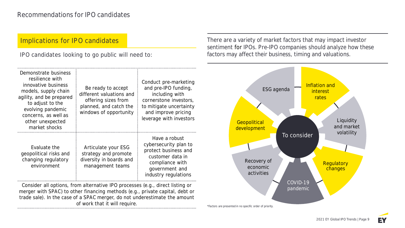### **Implications for IPO candidates**

**IPO candidates looking to go public will need to:**

There are a variety of market factors that may impact investor sentiment for IPOs. Pre-IPO companies should analyze how these factors may affect their business, timing and valuations.

pandemic



\*Factors are presented in no specific order of priority.

Consider all options, from alternative IPO processes (e.g., direct listing or merger with SPAC) to other financing methods (e.g., private capital, debt or trade sale). In the case of a SPAC merger, do not underestimate the amount of work that it will require.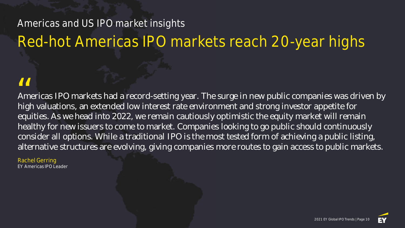# Americas and US IPO market insights

# Red-hot Americas IPO markets reach 20-year highs

Americas IPO markets had a record-setting year. The surge in new public companies was driven by high valuations, an extended low interest rate environment and strong investor appetite for equities. As we head into 2022, we remain cautiously optimistic the equity market will remain healthy for new issuers to come to market. Companies looking to go public should continuously consider all options. While a traditional IPO is the most tested form of achieving a public listing, alternative structures are evolving, giving companies more routes to gain access to public markets. **II**<br>Am<br>hial

Rachel Gerring EY Americas IPO Leader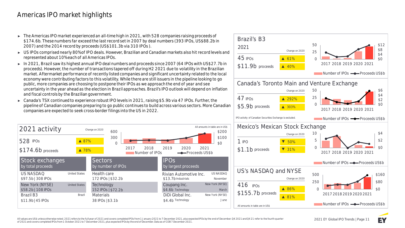## Americas IPO market highlights

- ► The Americas IPO market experienced an all-time high in 2021, with 528 companies raising proceeds of \$174.6b. These numbers far exceed the last record set in 2007 by deal numbers (393 IPOs, US\$88.2b in 2007) and the 2014 record by proceeds (US\$101.3b via 310 IPOs ).
- ► US IPOs comprised nearly 80% of IPO deals. However, Brazilian and Canadian markets also hit record levels and represented about 10% each of all Americas IPOs.
- ► In 2021, **Brazil** saw its highest annual IPO deal numbers and proceeds since 2007 (64 IPOs with US\$27.7b in proceeds). However, the number of transactions tapered off during H2 2021 due to volatility in the Brazilian market. Aftermarket performance of recently listed companies and significant uncertainty related to the local economy were contributing factors to this volatility. While there are still issuers in the pipeline looking to go public, more companies are choosing to postpone their IPOs as we approach the end of year and see uncertainty in the year ahead as the election in Brazil approaches. Brazil's IPO outlook will depend on inflation and fiscal controls by the Brazilian government.
- ► **Canada's TSX** continued to experience robust IPO levels in 2021, raising \$5.9b via 47 IPOs. Further, the pipeline of Canadian companies preparing to go public continues to build across various sectors. More Canadian companies are expected to seek cross-border filings into the US in 2022.



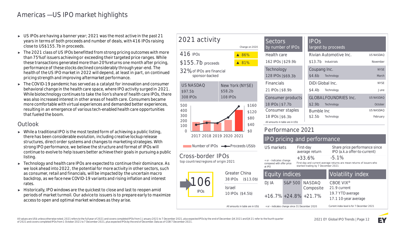## Americas — US IPO market highlights

- ► US IPOs are having a banner year; 2021 was the most active in the past 21 years in terms of both proceeds and number of deals, with 416 IPOs raising close to US\$155.7b in proceeds.
- ► The 2021 class of US IPOs benefitted from strong pricing outcomes with more than 75% of issuers achieving or exceeding their targeted price ranges. While these transactions generated more than 20% returns one month after pricing, performance of these stocks declined considerably through year-end. The health of the US IPO market in 2022 will depend, at least in part, on continued pricing strength and improving aftermarket performance.
- ► The COVID-19 pandemic has served as a catalyst for innovation and consumer behavioral change in the health care space, where IPO activity surged in 2021. While biotechnology continues to take the lion's share of health care IPOs, there was also increased interest in other areas of health care. Consumers became more comfortable with virtual experiences and demanded better experiences, resulting in an emergence of various tech-enabled health care opportunities that fueled the boom.

#### **Outlook**

- ► While a traditional IPO is the most tested form of achieving a public listing, there has been considerable evolution, including creative lockup release structures, direct order systems and changes to marketing strategies. With strong IPO performance, we believe the structure and format of IPOs will continue to evolve to help issuers better achieve their goals in pursuing a public listing.
- ► Technology and health care IPOs are expected to continue their dominance. As we look ahead into 2022, the potential for more activity in other sectors, such as consumer, retail and financials, will be impacted by the uncertain macro backdrop, as we face new COVID-19 variants and rising inflation and interest rates.
- ► Historically, IPO windows are the quickest to close and last to reopen amid periods of market turmoil. Our advice to issuers is to prepare early to maximize access to open and optimal market windows as they arise.

#### 416 IPOs \$155.7b proceeds 32% of IPOs are financial sponsor-backed ▲ 86% ▲ 81% 308 IPOs \$97.5b **US NASDAQ** 108 IPOs \$58.2b **New York (NYSE)**

**Change on 2020**

**2021 activity**



Number of IPOs  $\rightarrow$ 

#### **Cross-border IPO top countries/regions of origin**



| <b>Sectors</b><br>by number of IPOs                  | <b>IPOS</b><br>largest by proceeds |                  |
|------------------------------------------------------|------------------------------------|------------------|
| Health care                                          | Rivian Automotive Inc.             | <b>US NASDAO</b> |
| 162 IPOs   \$29.9b                                   | \$13.7b Industrials                | November         |
| Technology                                           | Coupang Inc.                       | <b>NYSF</b>      |
| 128 IPOs   \$69.3b                                   | \$4.6b<br>Technology               | March            |
| <b>Financials</b>                                    | DiDi Global Inc.                   | <b>NYSE</b>      |
| 21 IPOs   \$8.9b                                     | \$4.4b<br>Technology               | .June            |
| Consumer products                                    | GLOBAL FOUNDRIES Inc.              | <b>US NASDAO</b> |
| 18 IPOs   \$7.7b                                     | \$2.9 <sub>b</sub><br>Technology   | October          |
| Consumer staples                                     | Bumble Inc.                        | <b>US NASDAQ</b> |
| 18 IPOs   \$6.3b<br>All amounts in table are in US\$ | \$2.5b<br>Technology               | February         |

#### **Performance 2021**

| 020 2021                             |                                                                                  |                           |                                                | IPO pricing and performance           |                                                                                  |  |  |
|--------------------------------------|----------------------------------------------------------------------------------|---------------------------|------------------------------------------------|---------------------------------------|----------------------------------------------------------------------------------|--|--|
| Proceeds US\$b                       | US markets<br>+ or - indicates change<br>compared with offer price<br>at IPO     |                           | First-day<br>average return                    |                                       | Share price performance since<br>IPO (a.k.a offer-to-current)                    |  |  |
| )S<br>2021 ו                         |                                                                                  |                           | $+33.6%$<br>started trading by 7 December 2021 |                                       | $-5.1%$<br>First-day and current average returns are mean returns of issuers who |  |  |
| Greater China<br>38 IPO <sub>S</sub> | <b>Equity indices</b><br>(\$13.0b)<br>S&P 500 NASDAQ<br><b>DJIA</b><br>Composite |                           |                                                | Volatility index                      |                                                                                  |  |  |
| <b>Israel</b>                        |                                                                                  |                           |                                                | CBOE VIX <sup>®</sup><br>21.9 current |                                                                                  |  |  |
| 10 IPOs (\$4.5b)                     |                                                                                  | $+16.7\% +24.8\% +21.7\%$ |                                                |                                       | 19.7 YTD average<br>17.1 10-year average                                         |  |  |
| All amounts in table are in US\$     | + or - indicates change since 31 December 2020                                   |                           |                                                |                                       | Current index level is for 7 December 2021                                       |  |  |

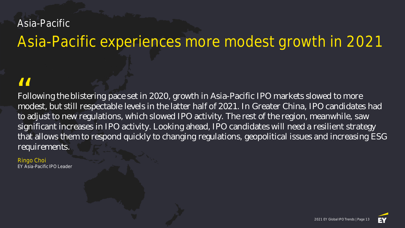# Asia-Pacific

# Asia-Pacific experiences more modest growth in 2021

Following the blistering pace set in 2020, growth in Asia-Pacific IPO markets slowed to more modest, but still respectable levels in the latter half of 2021. In Greater China, IPO candidates had to adjust to new regulations, which slowed IPO activity. The rest of the region, meanwhile, saw significant increases in IPO activity. Looking ahead, IPO candidates will need a resilient strategy that allows them to respond quickly to changing regulations, geopolitical issues and increasing ESG requirements.  $\frac{11}{100}$ 

Ringo Choi EY Asia-Pacific IPO Leader

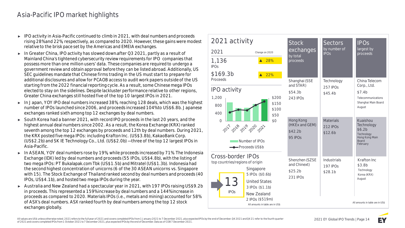# Asia-Pacific IPO market highlights

- ► IPO activity in Asia-Pacific continued to climb in 2021, with deal numbers and proceeds rising 28% and 22%, respectively, as compared to 2020. However, these gains were modest relative to the brisk pace set by the Americas and EMEIA exchanges.
- ► **In Greater China,** IPO activity has slowed down after Q3 2021, partly as a result of Mainland China's tightened cybersecurity review requirements for IPO companies that possess more than one million users' data. These companies are required to undergo a government review and obtain approval before they can be listed abroad. Additionally, US SEC guidelines mandate that Chinese firms trading in the US must start to prepare for additional disclosures and allow for PCAOB access to audit work papers outside of the US starting from the 2022 financial reporting cycle. As a result, some Chinese mega IPOs elected to stay on the sidelines. Despite lackluster performance relative to other regions, Greater China exchanges still hosted five of the top 10 largest IPOs in 2021.
- ► **In Japan,** YOY IPO deal numbers increased 38%, reaching 128 deals, which was the highest number of IPOs launched since 2006, and proceeds increased 104% to US\$6.8b. Japanese exchanges ranked sixth among top 12 exchanges by deal numbers.
- ► **South Korea** had a banner 2021, with record IPO proceeds in the last 20 years, and the highest annual deal numbers since 2002. As a result, the Korea Exchange (KRX) ranked seventh among the top 12 exchanges by proceeds and 12th by deal numbers. During 2021, the KRX posted five mega IPOs: including Krafton Inc. (US\$3.8b), KakaoBank Corp. (US\$2.2b) and SK IE Technology Co., Ltd. (US\$2.0b) — three of the top 12 largest IPOs in Asia-Pacific.
- ► **In ASEAN,** YOY deal numbers rose by 19%, while proceeds increased by 71%. The Indonesia Exchange (IDX) led by deal numbers and proceeds (55 IPOs, US\$4.8b), with the listing of two mega IPOs: PT Bukalapak.com Tbk (US\$1.5b) and Mitratel (US\$1.3b). Indonesia had the second highest concentration of unicorns (6 of the 30 ASEAN unicorns vs. Singapore with 15). The Stock Exchange of Thailand ranked second by deal numbers and proceeds (40 IPOs, US\$4.1b), and hosted two mega IPOs during the year.
- ► **Australia and New Zealand** had a spectacular year in 2021, with 197 IPOs raising US\$9.2b in proceeds. This represented a 159% increase by deal numbers and a 144% increase in proceeds as compared to 2020. Materials IPOs (i.e., metals and mining) accounted for 58% of ASX's deal numbers. ASX ranked fourth by deal numbers among the top 12 stock exchanges globally.

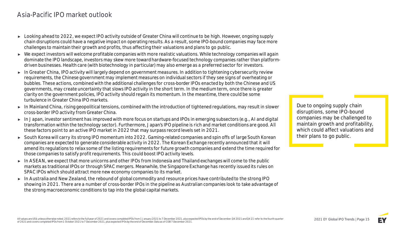## Asia-Pacific IPO market outlook

- ► Looking ahead to 2022, we expect IPO activity outside of Greater China will continue to be high. However, ongoing supply chain disruptions could have a negative impact on operating results. As a result, some IPO-bound companies may face more challenges to maintain their growth and profits, thus affecting their valuations and plans to go public.
- ► We expect investors will welcome profitable companies with more realistic valuations. While technology companies will again dominate the IPO landscape, investors may skew more toward hardware-focused technology companies rather than platformdriven businesses. Health care (with biotechnology in particular) may also emerge as a preferred sector for investors.
- ► In Greater China, IPO activity will largely depend on government measures. In addition to tightening cybersecurity review requirements, the Chinese government may implement measures on individual sectors if they see signs of overheating or bubbles. These actions, combined with the additional challenges for cross-border IPOs enacted by both the Chinese and US governments, may create uncertainty that slows IPO activity in the short term. In the medium term, once there is greater clarity on the government policies, IPO activity should regain its momentum. In the meantime, there could be some turbulence in Greater China IPO markets.
- ► **In Mainland China,** rising geopolitical tensions, combined with the introduction of tightened regulations, may result in slower cross-border IPO activity from Greater China.
- ► **In Japan,** investor sentiment has improved with more focus on startups and IPOs in emerging subsectors (e.g., AI and digital transformation within the technology sector). Furthermore, Japan's IPO pipeline is rich and market conditions are good. All these factors point to an active IPO market in 2022 that may surpass record levels set in 2021.
- ► **South Korea** will carry its strong IPO momentum into 2022. Gaming-related companies and spin offs of large South Korean companies are expected to generate considerable activity in 2022. The Korean Exchange recently announced that it will amend its regulations to relax some of the listing requirements for future growth companies and extend the time required for those companies to satisfy profit requirements. This could boost IPO activity levels.
- ► **In ASEAN,** we expect that more unicorns and other IPOs from Indonesia and Thailand exchanges will come to the public markets as traditional IPOs or through SPAC mergers. Meanwhile, the Singapore Exchange has recently issued its rules on SPAC IPOs which should attract more new economy companies to its market.
- ► **In Australia and New Zealand,** the rebound of global commodity and resource prices have contributed to the strong IPO showing in 2021. There are a number of cross-border IPOs in the pipeline as Australian companies look to take advantage of the strong macroeconomic conditions to tap into the global capital markets.

**Due to ongoing supply chain disruptions, some IPO-bound companies may be challenged to maintain growth and profitability, which could affect valuations and their plans to go public.**

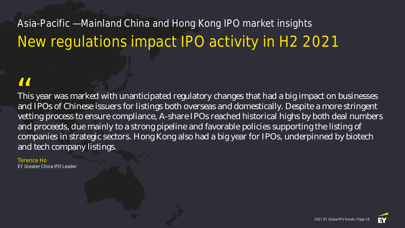# Asia-Pacific — Mainland China and Hong Kong IPO market insights New regulations impact IPO activity in H2 2021

This year was marked with unanticipated regulatory changes that had a big impact on businesses and IPOs of Chinese issuers for listings both overseas and domestically. Despite a more stringent vetting process to ensure compliance, A-share IPOs reached historical highs by both deal numbers and proceeds, due mainly to a strong pipeline and favorable policies supporting the listing of companies in strategic sectors. Hong Kong also had a big year for IPOs, underpinned by biotech and tech company listings.  $\frac{1}{\pi}$  Thi

Terence Ho EY Greater China IPO Leader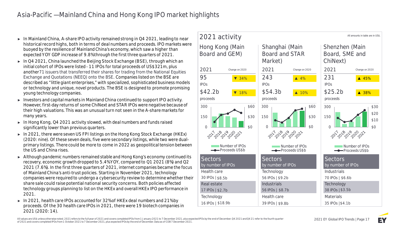## Asia-Pacific — Mainland China and Hong Kong IPO market highlights

- ► **In Mainland China,** A-share IPO activity remained strong in Q4 2021, leading to near historical record highs, both in terms of deal numbers and proceeds. IPO markets were buoyed by the resilience of Mainland China's economy, which saw a higher than expected YOY GDP increase of 9.8% through the first three quarters of 2021.
- ► In Q4 2021, China launched the **Beijing Stock Exchange (BSE),** through which an initial cohort of IPOs were listed - 11 IPOs for total proceeds of US\$321m, plus another71 issuers that transferred their shares for trading from the National Equities Exchange and Quotations (NEEQ) onto the BSE. Companies listed on the BSE are described as "little giant enterprises," with specialized, sophisticated business models or technology and unique, novel products. The BSE is designed to promote promising young technology companies.
- ► Investors and capital markets in Mainland China continued to support IPO activity. However, first-day returns of some ChiNext and STAR IPOs were negative because of their high valuations. This was an unusual turn not seen in the A-share markets for many years.
- ► **In Hong Kong,** Q4 2021 activity slowed, with deal numbers and funds raised significantly lower than previous quarters.
- ► In 2021, there were seven US FPI listings on the Hong Kong Stock Exchange (HKEx) (2020: nine). Of these seven deals, five were secondary listings, while two were dualprimary listings. There could be more to come in 2022 as geopolitical tension between the US and China rises.
- ► Although pandemic numbers remained stable and Hong Kong's economy continued its recovery, economic growth dropped to 5.4% YOY, compared to Q1 2021 (8%) and Q2 2021 (7.6%). In the first three quarters of 2021, internet companies became the focus of Mainland China's anti-trust policies. Starting in November 2021, technology companies were required to undergo a cybersecurity review to determine whether their share sale could raise potential national security concerns. Both policies affected technology groups planning to list on the HKEx and overall HKEx IPO performance in 2021.
- ► In 2021, health care IPOs accounted for 32% of HKEx deal numbers and 21% by proceeds. Of the 30 health care IPOs in 2021, there were 19 biotech companies in 2021 (2020: 14).

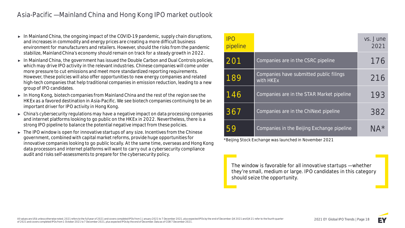## Asia-Pacific — Mainland China and Hong Kong IPO market outlook

- ► **In Mainland China,** the ongoing impact of the COVID-19 pandemic, supply chain disruptions, and increases in commodity and energy prices are creating a more difficult business environment for manufacturers and retailers. However, should the risks from the pandemic stabilize, Mainland China's economy should remain on track for a steady growth in 2022.
- ► **In Mainland China,** the government has issued the Double Carbon and Dual Controls policies, which may drive IPO activity in the relevant industries. Chinese companies will come under more pressure to cut emissions and meet more standardized reporting requirements. However, these policies will also offer opportunities to new energy companies and related high-tech companies that help traditional companies in emission reduction, leading to a new group of IPO candidates.
- ► **In Hong Kong,** biotech companies from Mainland China and the rest of the region see the HKEx as a favored destination in Asia-Pacific. We see biotech companies continuing to be an important driver for IPO activity in Hong Kong.
- ► China's cybersecurity regulations may have a negative impact on data processing companies and internet platforms looking to go public on the HKEx in 2022. Nevertheless, there is a strong IPO pipeline to balance the potential negative impact from these policies.
- ► The IPO window is open for innovative startups of any size. Incentives from the Chinese government, combined with capital market reforms, provide huge opportunities for innovative companies looking to go public locally. At the same time, overseas and Hong Kong data processors and internet platforms will want to carry out a cybersecurity compliance audit and risks self-assessments to prepare for the cybersecurity policy.

| <b>IPO</b><br>pipeline |                                                      | vs. June<br>2021 |
|------------------------|------------------------------------------------------|------------------|
| 201                    | Companies are in the CSRC pipeline                   | 176              |
| 189                    | Companies have submitted public filings<br>with HKEx | 216              |
| 146                    | Companies are in the STAR Market pipeline            | 193              |
| 367                    | Companies are in the ChiNext pipeline                | 382              |
|                        | Companies in the Beijing Exchange pipeline           | NA*              |

\*Beijing Stock Exchange was launched in November 2021

**The window is favorable for all innovative startups — whether they're small, medium or large. IPO candidates in this category should seize the opportunity.**

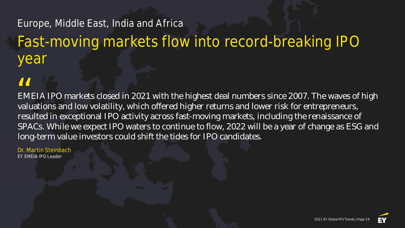# Europe, Middle East, India and Africa Fast-moving markets flow into record-breaking IPO year

EMEIA IPO markets closed in 2021 with the highest deal numbers since 2007. The waves of high valuations and low volatility, which offered higher returns and lower risk for entrepreneurs, resulted in exceptional IPO activity across fast-moving markets, including the renaissance of SPACs. While we expect IPO waters to continue to flow, 2022 will be a year of change as ESG and long-term value investors could shift the tides for IPO candidates. II<br>EM<br>valu

Dr. Martin Steinbach EY EMEIA IPO Leader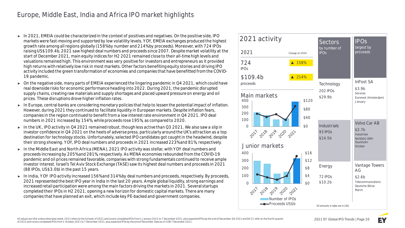# Europe, Middle East, India and Africa IPO market highlights

- ► In 2021, EMEIA could be characterized in the context of positives and negatives. On the positive side, IPO markets were fast-moving and supported by low volatility levels. YOY, EMEIA exchanges produced the highest growth rate among all regions globally (158% by number and 214% by proceeds). Moreover, with 724 IPOs raising US\$109.4b, 2021 saw highest deal numbers and proceeds since 2007. Despite market volatility at the start of December 2021, main equity indices for H2 2021 remained close to their all-time high levels and valuations remained high. This environment was very positive for investors and entrepreneurs as it provided high returns with relatively low risk in most markets. Other factors benefiting equity stories and driving IPO activity included the green transformation of economies and companies that have benefitted from the COVID-19 pandemic.
- ► On the negative side, many parts of **EMEIA** experienced the lingering pandemic in Q4 2021, which could have real downside risks for economic performance heading into 2022. During 2021, the pandemic disrupted supply chains, creating raw materials and supply shortages and placed upward pressure on energy and oil prices. These disruptions drove higher inflation rates.
- ► **In Europe,** central banks are considering monetary policies that help to lessen the potential impact of inflation. However, during 2021 they continued to facilitate liquidity in European markets. Despite inflation fears, companies in the region continued to benefit from a low interest rate environment in Q4 2021. IPO deal numbers in 2021 increased by 154%, while proceeds rose 195%, as compared to 2020.
- ► **In the UK,** IPO activity in Q4 2021 remained robust, though less active than Q3 2021. We also saw a slip in investor confidence in Q4 2021 on the heels of adverse press, particularly around the UK's attraction as a top destination for technology stocks. Unfortunately, selected IPO candidates got caught in the headwind, despite their strong showing. YOY, IPO deal numbers and proceeds in 2021 increased 223% and 81%, respectively.
- ► **In the Middle East and North Africa (MENA),** 2021 IPO activity was stellar, with YOY deal numbers and proceeds increasing by 205% and 281%, respectively. As MENA economies rebounded from the COVID-19 pandemic and oil prices remained favorable, companies with strong fundamentals continued to receive ample investor interest. Israel's Tel Aviv Stock Exchange (TASE) saw its highest deal numbers and proceeds in 2021 (88 IPOs, US\$3.0b) in the past 15 years.
- ► In India, YOY IPO activity increased 156% and 314% by deal numbers and proceeds, respectively. By proceeds, 2021 represented the best IPO year in India in the last 20 years. Ample global liquidity, strong earnings and increased retail participation were among the main factors driving the markets in 2021. Several startups completed their IPOs in H2 2021, opening a new horizon for domestic capital markets. There are many companies that have planned an exit, which include key PE-backed and government companies.

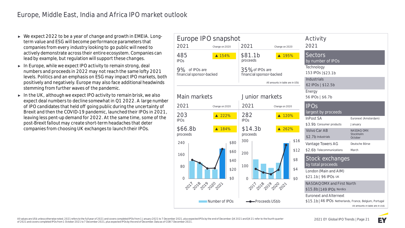- ► We expect 2022 to be a year of change and growth in EMEIA. Longterm value and ESG will become performance parameters that companies from every industry looking to go public will need to actively demonstrate across their entire ecosystem. Companies can lead by example, but regulation will support these changes.
- ► **In Europe,** while we expect IPO activity to remain strong, deal numbers and proceeds in 2022 may not reach the same lofty 2021 levels. Politics and an emphasis on ESG may impact IPO markets, both positively and negatively. Europe may also face additional headwinds stemming from further waves of the pandemic.
- ► **In the UK,** although we expect IPO activity to remain brisk, we also expect deal numbers to decline somewhat in Q1 2022. A large number of IPO candidates that held off going public during the uncertainty of Brexit and then the COVID-19 pandemic, launched their IPOs in 2021, leaving less pent-up demand for 2022. At the same time, some of the post-Brexit fallout may create short-term headaches that deter companies from choosing UK exchanges to launch their IPOs.

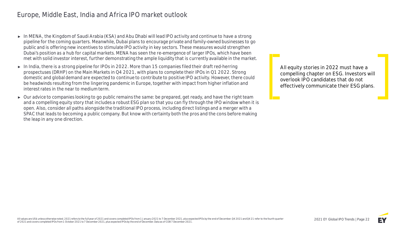## Europe, Middle East, India and Africa IPO market outlook

- ► In MENA, the Kingdom of Saudi Arabia (KSA) and Abu Dhabi will lead IPO activity and continue to have a strong pipeline for the coming quarters. Meanwhile, Dubai plans to encourage private and family-owned businesses to go public and is offering new incentives to stimulate IPO activity in key sectors. These measures would strengthen Dubai's position as a hub for capital markets. MENA has seen the re-emergence of larger IPOs, which have been met with solid investor interest, further demonstrating the ample liquidity that is currently available in the market.
- ► **In India,**there is a strong pipeline for IPOs in 2022. More than 15 companies filed their draft red-herring prospectuses (DRHP) on the Main Markets in Q4 2021, with plans to complete their IPOs in Q1 2022. Strong domestic and global demand are expected to continue to contribute to positive IPO activity. However, there could be headwinds resulting from the lingering pandemic in Europe, together with impact from higher inflation and interest rates in the near to medium term.
- ► Our advice to companies looking to go public remains the same: be prepared, get ready, and have the right team and a compelling equity story that includes a robust ESG plan so that you can fly through the IPO window when it is open. Also, consider all paths alongside the traditional IPO process, including direct listings and a merger with a SPAC that leads to becoming a public company. But know with certainty both the pros and the cons before making the leap in any one direction.

**All equity stories in 2022 must have a compelling chapter on ESG. Investors will overlook IPO candidates that do not effectively communicate their ESG plans.**

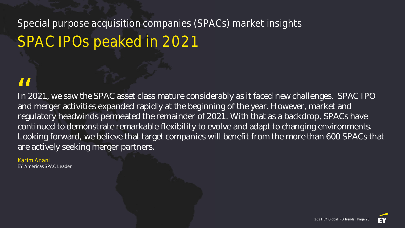# Special purpose acquisition companies (SPACs) market insights SPAC IPOs peaked in 2021

In 2021, we saw the SPAC asset class mature considerably as it faced new challenges. SPAC IPO and merger activities expanded rapidly at the beginning of the year. However, market and regulatory headwinds permeated the remainder of 2021. With that as a backdrop, SPACs have continued to demonstrate remarkable flexibility to evolve and adapt to changing environments. Looking forward, we believe that target companies will benefit from the more than 600 SPACs that are actively seeking merger partners.  $\frac{1}{\ln 2}$ 

# Karim Anani

EY Americas SPAC Leader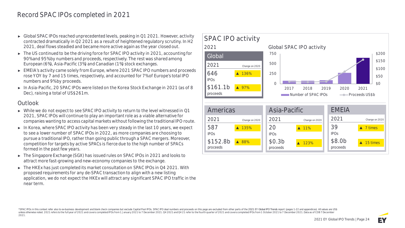- ► Global SPAC IPOs reached unprecedented levels, peaking in Q1 2021. However, activity contracted dramatically in Q2 2021 as a result of heightened regulatory scrutiny. In H2 2021, deal flows steadied and became more active again as the year closed out.
- ► The US continued to be the driving force for SPAC IPO activity in 2021, accounting for 90% and 95% by numbers and proceeds, respectively. The rest was shared among European (6%), Asia-Pacific (3%) and Canadian (1%) stock exchanges.
- ► EMEIA's activity came solely from Europe, where 2021 SPAC IPO numbers and proceeds rose YOY by 7 and 15 times, respectively, and accounted for 7% of Europe's total IPO numbers and 9% by proceeds.
- ► In Asia-Pacific, 20 SPAC IPOs were listed on the Korea Stock Exchange in 2021 (as of 8 Dec), raising a total of US\$261m.

#### **Outlook**

- ► While we do not expect to see SPAC IPO activity to return to the level witnessed in Q1 2021, SPAC IPOs will continue to play an important role as a viable alternative for companies wanting to access capital markets without following the traditional IPO route.
- ► In Korea, where SPAC IPO activity has been very steady in the last 10 years, we expect to see a lower number of SPAC IPOs in 2022, as more companies are choosing to pursue a traditional IPO, rather than going public through a SPAC mergers. Moreover, competition for targets by active SPACs is fierce due to the high number of SPACs formed in the past few years.
- ► The Singapore Exchange (SGX) has issued rules on SPAC IPOs in 2021 and looks to attract more fast-growing and new-economy companies to the exchange.
- ► The HKEx has just completed its market consultation on SPAC IPOs in Q4 2021. With proposed requirements for any de-SPAC transaction to align with a new listing application, we do not expect the HKEx will attract any significant SPAC IPO traffic in the near term.



\*SPAC IPOs in this context refer also to ex-business development and blank check companies but exclude Capital Pool IPOs. SPAC IPO deal numbers and proceeds on this page are excluded from other parts of the 2021 EY Global unless otherwise noted. 2021 refers to the full year of 2021 and covers completed IPOs from 1 January 2021 to 7 December 2021.04 2021 and 04 21 refer to the fourth quarter of 2021 and covers completed IPOs from 1 October 2 2021.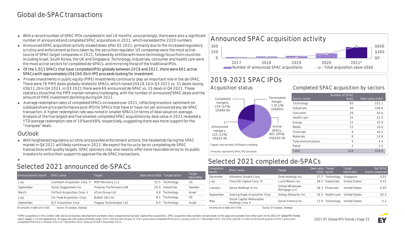## Global de-SPAC transactions

- ► With a record number of SPAC IPOs completed in last 18 months, unsurprisingly, there were also a significant number of announced and completed SPAC acquisitions in 2021, which exceeded the 2020 numbers.
- ► Announced SPAC acquisition activity slowed down after Q1 2021, primarily due to the increased regulatory scrutiny and enforcement actions taken by the securities regulator. US companies were the most active source of SPAC target companies in 2021, followed by entities with more technology focus from countries including Israel, South Korea, the UK and Singapore. Technology, industrials, consumer and health care were the most active sectors for completed de-SPACs, and mirroring those of the traditional IPOs.
- ► Of the 1,011 SPACs that have completed IPOs globally between 2019 and 2021, there were 661 active SPACs with approximately US\$160.0b in IPO proceeds looking for investment.
- ► Private investments in public equity (PIPE) investments continue to play an important role in the de-SPAC. There were 76 PIPE deals globally related to SPACs, which raised US\$18.1b in Q3 2021 vs. 31 deals raising US\$11.2b in Q4 2021. In Q3 2021 there were 69 announced de-SPAC vs. 33 deals in Q4 2021. These statistics show that the PIPE market remains challenging, with the number of announced SPAC deals and the amount of PIPE investment declining during Q4 2021.
- ► Average redemption rates of completed SPACs increased over 2021, reflecting investors' sentiment on subdued share price performance post-IPO for SPACs that have or have not yet announced any de-SPAC transaction. A higher redemption rate was noted in smaller SPACs (in terms of deal value) on average. Analysis of the five largest and five smallest completed SPAC acquisitions by deal value in 2021 revealed a YTD average redemption rate of 10% and 68%, respectively, suggesting there was more support for the "marquee" deals.

#### **Outlook**

► With heightened regulatory scrutiny and possible enforcement actions, the headwinds facing the SPAC market in Q4 2021 will likely continue in 2022. We expect the focus to be on completing de-SPAC transactions with quality targets. SPAC sponsors may also need to offer more favorable terms to its public investors to entice their support to approve the de-SPAC transactions.

►

# **Selected 2021 announced de-SPACs**

| Announcement month | SPAC name                      | Target                   | Deal value US\$b Target sector |                 | Target<br>nationality |
|--------------------|--------------------------------|--------------------------|--------------------------------|-----------------|-----------------------|
| July               | Lionheart Acquisition Corp. II | <b>MSP Recovery LLC</b>  |                                | 32.5 Technology | US                    |
| September          | Gores Guggenheim Inc.          | Polestar Performance AB  | 20 O                           | Industrials     | Sweden                |
| March              | FinTech Acquisition Corp. V    | eToro Group Ltd.         | 9.8                            | Technology      | Israel                |
| July               | Far Peak Acquisition Corp.     | Bullish (GI) Ltd.        | 8.1                            | Technology      | US                    |
| September          | EJF Acquisition Corp.          | Pagaya Technologies Ltd. | 8.0                            | Technology      | Israel                |
|                    | .                              |                          |                                |                 |                       |

All amounts in table are in US\$ Source: EY analysis, Dealogic



# **2019-2021 SPAC IPOs**

**Acquisition status**



#### **Completed SPAC acquisition by sectors**

| Sector name        | Number of SPAC<br>deals | Deal value (US\$) |
|--------------------|-------------------------|-------------------|
| Technology         | 83                      | 221.1             |
| Industrials        | 40                      | 108.6             |
| Consumer           | 26                      | 40.6              |
| Health care        | 25                      | 42.0              |
| Energy             | 15                      | 35.9              |
| Media              | 12                      | 16.4              |
| Financials         | 9                       | 44.2              |
| Materials          | 8                       | 19.8              |
| Telecommunications | 4                       | 4.4               |
| Retail             | $\mathfrak{D}$          | 1.0               |
| Total              | 224                     | 534.0             |

# **Selected 2021 completed de-SPACs**

| Completion<br>month              | SPAC name                                    | Target                           | Deal value Target | US\$b sector     | Target<br>nationality | % of SPAC<br>shares redeemed |
|----------------------------------|----------------------------------------------|----------------------------------|-------------------|------------------|-----------------------|------------------------------|
| December                         | Altimeter Growth Corp.                       | Grab Holdings Inc.               | 37.7              | Technology       | Singapore             | 0.02                         |
| July                             | Churchill Capital Corp. IV                   | Lucid Motors Inc.                | 28.5              | Industrials      | <b>United States</b>  | 0.01                         |
| January                          | Gores Holdings IV Inc                        | United Wholesale<br>Mortgage LLC |                   | 18.3 Financials  | <b>United States</b>  | 0.05                         |
| September                        | Soaring Eagle Acquisition Corp.              | Ginkgo Bioworks Inc.             |                   | 18.0 Health care | <b>United States</b>  | 50.3                         |
| May                              | Social Capital Hedosophia<br>Holdings Corp V | Social Finance Inc.              | 12.9              | Technology       | <b>United States</b>  | 0.2                          |
| All amounts in table are in US\$ |                                              | Source: EY analysis, Dealogic    |                   |                  |                       |                              |

\*SPAC acquisitions in this context refer also to ex-business development and blank check companies but exclude Capital Pool acquisitions. SPAC acquisition deal numbers and proceeds on this page are excluded from other part report (pages 1-22 and appendices). All values are US\$ unless otherwise noted. 2021 refers to the full year of 2021 and covers completed IPOs from 1 January 2021 to 7 December 2021. Q4 2021 and Q4 21 refer to the fourth qu completed IPOs from 1 October 2021 to 7 December 2021. Data as of COB 7 December 2021.

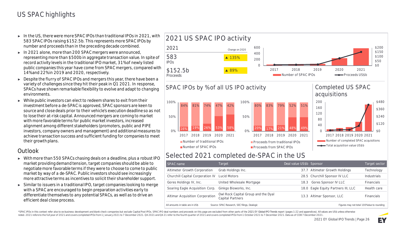- ► In the US, there were more SPAC IPOs than traditional IPOs in 2021, with 583 SPAC IPOs raising \$152.5b. This represents more SPAC IPOs by number and proceeds than in the preceding decade combined.
- ► In 2021 alone, more than 200 SPAC mergers were announced, representing more than \$500b in aggregate transaction value. In spite of record activity levels in the traditional IPO market, 31% of newly listed public companies this year have come from SPAC mergers, compared with 14% and 22% in 2019 and 2020, respectively.
- ► Despite the flurry of SPAC IPOs and mergers this year, there have been a variety of challenges since they hit their peak in Q1 2021. In response, SPACs have shown remarkable flexibility to evolve and adapt to changing environments.
- $\triangleright$  While public investors can elect to redeem shares to exit from their investment before a de-SPAC is approved, SPAC sponsors are keen to source and close deals prior to their vehicle's execution deadline so as not to lose their at-risk capital. Announced mergers are coming to market with more favorable terms for public market investors, increased alignment among different stakeholders (promoters, public and PIPE investors, company owners and management) and additional measures to achieve transaction success and sufficient funding for companies to meet their growth plans.

#### **Outlook**

- ► With more than 550 SPACs chasing deals on a deadline, plus a robust IPO market providing demand tension, target companies should be able to negotiate more favorable terms if they were to choose to come to public market by way of a de-SPAC. Public investors should see increasingly more attractive terms as incentives to solicit their shareholder support.
- ► Similar to issuers in a traditional IPO, target companies looking to merge with a SPAC are encouraged to begin preparation activities early to differentiate themselves to any potential SPACs, as well as to drive an efficient deal close process.



## **Selected 2021 completed de-SPAC in the US**

| SPAC name                        | Target                                                  | Deal value US\$b Sponsor |                                            | Target sector     |
|----------------------------------|---------------------------------------------------------|--------------------------|--------------------------------------------|-------------------|
| Altimeter Growth Corporation     | Grab Holdings Inc.                                      |                          | 37.7 Altimeter Growth Holdings             | Technology        |
| Churchill Capital Corporation IV | Lucid Motors                                            |                          | 28.5 Churchill Sponsor IV LLC              | Industrials       |
| Gores Holdings IV, Inc.          | United Wholesale Mortgage                               | 18.3                     | <b>Gores Sponsor IV LLC</b>                | <b>Financials</b> |
| Soaring Eagle Acquisition Corp.  | Ginkgo Bioworks, Inc.                                   |                          | 18.0 Eagle Equity Partners III, LLC        | Health care       |
| Altimar Acquisition Corporation  | Owl Rock Capital Group and the Dyal<br>Capital Partners |                          | 13.3 Altimar Sponsor, LLC                  | <b>Financials</b> |
| All amounts in table are in US\$ | Source: SPAC Research, SEC filings, Dealogic            |                          | Figures may not total 100% due to rounding |                   |

\*SPAC IPOs in this context refer also to ex-business development and blank check companies but exclude Capital Pool IPOs. SPAC IPO deal numbers and proceeds on this page are excluded from other parts of the 2021 EY Global noted. 2021 refers to the full year of 2021 and covers completed IPOs from 1 January 2021 to 7 December 2021. 04 2021 and 04 21 refer to the fourth quarter of 2021 and covers completed IPOs from 1 October 2021 to 7 Decembe

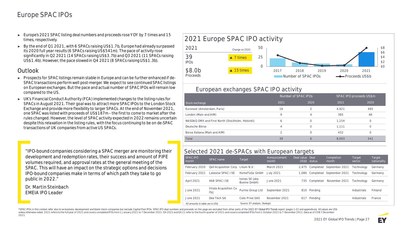## Europe SPAC IPOs

- ► Europe's 2021 SPAC listing deal numbers and proceeds rose YOY by 7 times and 15 times, respectively.
- ► By the end of Q1 2021, with 6 SPACs raising US\$1.7b, Europe had already surpassed its 2020 full year results (6 SPACs raising US\$541m). The pace of activity rose significantly in Q2 2021 (14 SPACs raising US\$3.7b) and Q3 2021 (11 SPACs raising US\$1.4b). However, the pace slowed in Q4 2021 (8 SPACs raising US\$1.3b).

#### **Outlook**

- ► Prospects for SPAC listings remain stable in Europe and can be further enhanced if de-SPAC transactions perform well post-merger. We expect to see continued SPAC listings on European exchanges. But the pace and actual number of SPAC IPOs will remain low compared to the US.
- ► UK's Financial Conduct Authority (FCA) implemented changes to the listing rules for SPACs in August 2021. Their goal was to attract more SPAC IPOs to the London Stock Exchange and provide more flexibility to larger SPACs. At the end of November 2021, one SPAC was listed with proceeds of US\$187m – the first to come to market after the rules changed. However, the level of SPAC activity expected in 2022 remains uncertain despite this relaxation in the listing rules, with the focus continuing to be on de-SPAC transactions of UK companies from active US SPACs.

"IPO-bound companies considering a SPAC merger are monitoring their development and redemption rates, their success and amount of PIPE volumes required, and approval rates at the general meeting of the SPAC. This will have an impact on the strategic options and decisions IPO-bound companies make in terms of which path they take to go public in 2022."

**Dr. Martin Steinbach** EMEIA IPO Leader



#### **European exchanges SPAC IPO activity**

|                                                  | Number of SPAC IPOS |                |       | SPAC IPO proceeds US\$m |
|--------------------------------------------------|---------------------|----------------|-------|-------------------------|
| Stock exchange                                   | 2021                | 2020           | 2021  | 2020                    |
| Euronext (Amsterdam, Paris)                      | 18                  |                | 4,921 | 495                     |
| London (Main and AIM)                            | 9                   | $\overline{4}$ | 385   | 46                      |
| NASDAQ OMX and First North (Stockholm, Helsinki) | 6                   | 0              | 1.154 | $\Omega$                |
| Deutsche Börse                                   | 4                   | 0              | 1.111 |                         |
| Borsa Italiana (Main and AIM)                    |                     | $\Omega$       | 432   |                         |
| Total                                            | 39                  | 6              | 8.003 | 541                     |

#### **Selected 2021 de-SPACs with European targets**

| <b>SPAC IPO</b><br>month         | SPAC name                         | Target                         | Announcement<br>month | Deal value Deal | US\$b status | Completion<br>month            | Target<br>sector  | Target<br>nationality |
|----------------------------------|-----------------------------------|--------------------------------|-----------------------|-----------------|--------------|--------------------------------|-------------------|-----------------------|
| February 2020                    | Qell Acquisition Corp Lilium N.V. |                                | March 2021            |                 |              | 2,475 Completed September 2021 | <b>Technology</b> | Germany               |
| February 2021                    | Lakestar SPAC I SE                | HomeToGo GmbH                  | July 2021             | 1.086           | Completed    | September 2021                 | <b>Technology</b> | Germany               |
| April 2021                       | 468 SPAC LSE                      | tonies SE (aka<br>Boxine GmbH) | June 2021             | 735.            | Completed    | November 2021                  | Technoloav        | Germany               |
| June 2021                        | Virala Acquisition Co<br>Oyj      | Purmo Group Ltd                | September 2021        |                 | 810 Pending  |                                | Industrials       | Finland               |
| June 2021                        | Dee Tech SA                       | Colis Prive SAS                | November 2021         |                 | 617 Pending  |                                | Industrials       | France                |
| All amounts in table are in US\$ |                                   | Source: EY analysis, Dealogic  |                       |                 |              |                                |                   |                       |

\*SPAC IPOs in this context refer also to ex-business development and blank check companies but exclude Capital Pool IPOs. SPAC IPO deal numbers and proceeds on this page are excluded from other parts of the 2021 EY Global unless otherwise noted. 2021 refers to the full year of 2021 and covers completed IPOs from 1 January 2021 to 7 December 2021.04 2021 and 04 21 refer to the fourth quarter of 2021 and covers completed IPOs from 1 October 2 2021.

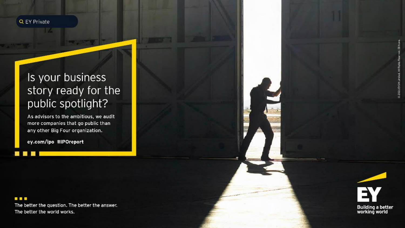

# Is your business story ready for the public spotlight?

As advisors to the ambitious, we audit more companies that go public than any other Big Four organization.

ey.com/ipo #IPOreport

#### **. . .**

**All All** 

The better the question. The better the answer. The better the world works.

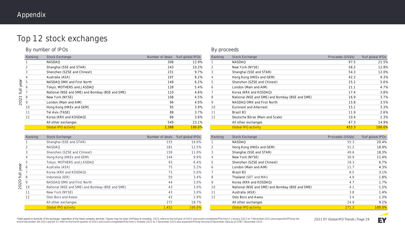# Top 12 stock exchanges

#### **By number of IPOs**

|                      | Ranking        | <b>Stock Exchange</b>                           | Number of deals | % of global IPOs |
|----------------------|----------------|-------------------------------------------------|-----------------|------------------|
|                      |                | <b>NASDAQ</b>                                   | 308             | 12.9%            |
|                      | 2              | Shanghai (SSE and STAR)                         | 243             | 10.2%            |
|                      | 3              | Shenzhen (SZSE and Chinext)                     | 231             | 9.7%             |
|                      | $\overline{4}$ | Australia (ASX)                                 | 197             | 8.2%             |
| year                 | 5              | NASDAQ OMX and First North                      | 149             | 6.2%             |
|                      | 6              | Tokyo, MOTHERS and JASDAQ                       | 128             | 5.4%             |
| $\overline{\exists}$ | $\overline{7}$ | National (NSE and SME) and Bombay (BSE and SME) | 110             | 4.6%             |
|                      | 8              | New York (NYSE)                                 | 108             | 4.5%             |
| 2021                 | 9              | London (Main and AIM)                           | 96              | 4.0%             |
|                      | 10             | Hong Kong (HKEx and GEM)                        | 95              | 3.9%             |
|                      | 11             | Tel Aviv (TASE)                                 | 88              | 3.7%             |
|                      | 12             | Korea (KRX and KOSDAQ)                          | 86              | 3.6%             |
|                      |                | All other exchanges                             | 549             | 23.1%            |
|                      |                | <b>Global IPO activity</b>                      | 2.388           | 100.0%           |

|                           | Ranking        | <b>Stock Exchange</b>                           | Number of deals % of global IPOs |        |
|---------------------------|----------------|-------------------------------------------------|----------------------------------|--------|
|                           |                | Shanghai (SSE and STAR)                         | 233                              | 16.0%  |
|                           | $\overline{2}$ | <b>NASDAQ</b>                                   | 181                              | 12.5%  |
|                           | 3              | Shenzhen (SZSE and Chinext)                     | 159                              | 11.0%  |
|                           | 4              | Hong Kong (HKEx and GEM)                        | 144                              | 9.9%   |
|                           | 5              | Tokyo, MOTHERS and JASDAQ                       | 93                               | 6.4%   |
| year                      | 6              | Australia (ASX)                                 | 75                               | 5.2%   |
|                           | 7              | Korea (KRX and KOSDAQ)                          | 73                               | 5.0%   |
| $\overline{\overline{z}}$ | 8              | Indonesia (IDX)                                 | 50                               | 3.4%   |
| 2020                      | 9              | NASDAQ OMX and First North                      | 44                               | 3.0%   |
|                           | 10             | National (NSE and SME) and Bombay (BSE and SME) | 43                               | 3.0%   |
|                           | 11             | New York (NYSE)                                 | 43                               | 3.0%   |
|                           | 12             | Oslo Bors and Axess                             | 42                               | 2.9%   |
|                           |                | All other exchanges                             | 272                              | 18.7%  |
|                           |                | <b>Global IPO activity</b>                      | 1.452                            | 100.0% |
|                           |                |                                                 |                                  |        |

#### **By proceeds**

| Ranking | <b>Stock Exchange</b>                           | Proceeds (US\$b) | % of global IPOs |
|---------|-------------------------------------------------|------------------|------------------|
| 1       | <b>NASDAQ</b>                                   | 97.5             | 21.5%            |
| 2       | New York (NYSE)                                 | 58.2             | 12.8%            |
| 3       | Shanghai (SSE and STAR)                         | 54.3             | 12.0%            |
| 4       | Hong Kong (HKEx and GEM)                        | 42.2             | 9.3%             |
| 5       | Shenzhen (SZSE and Chinext)                     | 25.2             | 5.6%             |
| 6       | London (Main and AIM)                           | 21.1             | 4.7%             |
| 7       | Korea (KRX and KOSDAQ)                          | 17.4             | 3.8%             |
| 8       | National (NSE and SME) and Bombay (BSE and SME) | 16.9             | 3.7%             |
| 9       | NASDAQ OMX and First North                      | 15.8             | 3.5%             |
| 10      | <b>Euronext and Alternext</b>                   | 15.1             | 3.3%             |
| 11      | Brazil B3                                       | 11.9             | 2.6%             |
| 12      | Deutsche Börse (Main and Scale)                 | 10.4             | 2.3%             |
|         | All other exchanges                             | 67.3             | 14.9%            |
|         | <b>Global IPO activity</b>                      | 453.3            | 100.0%           |
|         |                                                 |                  |                  |

| Ranking | <b>Stock Exchange</b>                           | Proceeds (US\$b) | % of global IPOs |
|---------|-------------------------------------------------|------------------|------------------|
|         | <b>NASDAQ</b>                                   | 55.3             | 20.4%            |
| 2       | Hong Kong (HKEx and GEM)                        | 51.2             | 18.9%            |
| 3       | Shanghai (SSE and STAR)                         | 49.6             | 18.3%            |
| 4       | New York (NYSE)                                 | 30.9             | 11.4%            |
| 5       | Shenzhen (SZSE and Chinext)                     | 18.3             | 6.7%             |
| 6       | London (Main and AIM)                           | 11.7             | 4.3%             |
| 7       | Brazil B3                                       | 8.5              | 3.1%             |
| 8       | Thailand (SET and MAI)                          | 4.9              | 1.8%             |
| 9       | Korea (KRX and KOSDAQ)                          | 4.7              | 1.7%             |
| 10      | National (NSE and SME) and Bombay (BSE and SME) | 4.1              | 1.5%             |
| 11      | Australia (ASX)                                 | 3.8              | 1.4%             |
| 12      | Oslo Bors and Axess                             | 3.4              | 1.3%             |
|         | All other exchanges                             | 24.9             | 9.2%             |
|         | <b>Global IPO activity</b>                      | 271.3            | 100.0%           |

\*Data based on domicile of the exchange, regardless of the listed company domicile. Figures may not total 100% due to rounding. 2021 refers to the full year of 2021 and covers completed IPOs from 1 January 2021 to 7 Decemb

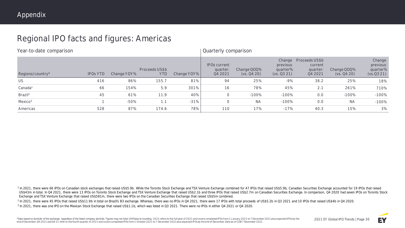# Regional IPO facts and figures: Americas

| Year-to-date comparison |                 |             |                              |             |                                            | <b>Quarterly comparison</b> |                                     |                                                         |                            |                                             |  |  |
|-------------------------|-----------------|-------------|------------------------------|-------------|--------------------------------------------|-----------------------------|-------------------------------------|---------------------------------------------------------|----------------------------|---------------------------------------------|--|--|
| Regions/country*        | <b>IPOS YTD</b> | Change YOY% | Proceeds US\$b<br><b>YTD</b> | Change YOY% | <b>IPOs current</b><br>quarter:<br>Q4 2021 | Change QOQ%<br>(vs. Q4 20)  | previous<br>quarter%<br>(vs. Q3 21) | Change Proceeds US\$b<br>current<br>quarter:<br>Q4 2021 | Change QOQ%<br>(vs. Q4 20) | Change<br>previous<br>quarter%<br>(vs.0321) |  |  |
| <b>US</b>               | 416             | 86%         | 155.7                        | 81%         | 94                                         | 25%                         | $-9%$                               | 38.2                                                    | 25%                        | 18%                                         |  |  |
| Canada <sup>1</sup>     | 66              | 154%        | 5.9                          | 301%        | 16                                         | 78%                         | 45%                                 | 2.1                                                     | 261%                       | 710%                                        |  |  |
| Brazil <sup>2</sup>     | 45              | 61%         | 11.9                         | 40%         | 0                                          | $-100%$                     | $-100%$                             | 0.0                                                     | $-100%$                    | $-100%$                                     |  |  |
| Mexico <sup>3</sup>     |                 | $-50%$      | 1.1                          | $-31%$      | 0                                          | <b>NA</b>                   | $-100%$                             | 0.0                                                     | <b>NA</b>                  | $-100%$                                     |  |  |
| Americas                | 528             | 87%         | 174.6                        | 78%         | 110                                        | 17%                         | $-17%$                              | 40.3                                                    | 15%                        | 3%                                          |  |  |

1 In 2021, there were 66 IPOs on Canadian stock exchanges that raised US\$5.9b. While the Toronto Stock Exchange and TSX Venture Exchange combined for 47 IPOs that raised US\$5.9b, Canadian Securities Exchange accounted for US\$43m in total. In Q4 2021, there were 13 IPOs on Toronto Stock Exchange and TSX Venture Exchange that raised US\$2.1b and three IPOs that raised US\$2.7m on Canadian Securities Exchange. In comparison, Q4 2020 had seven IP Exchange and TSX Venture Exchange that raised US\$581m, there were two IPOs on the Canadian Securities Exchange that raised US\$5m combined.

<sup>2</sup> In 2021, there were 45 IPOs that raised US\$11.9b in total on Brazil's B3 exchange. Whereas, there was no IPOs in Q4 2021, there were 17 IPOs with total proceeds of US\$5.2b in Q3 2021 and 10 IPOs that raised US\$4b in Q4

<sup>3</sup> In 2021, there was one IPO on the Mexican Stock Exchange that raised US\$1.1b, which was listed in Q3 2021. There were no IPOs in either Q4 2021 or Q4 2020.



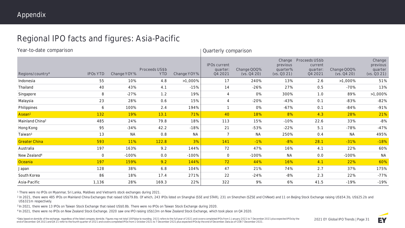# Regional IPO facts and figures: Asia-Pacific

| Year-to-date comparison     |                 |             |                              |             | Quarterly comparison                       |                            |                                               |                                                  |                            |                                              |  |  |
|-----------------------------|-----------------|-------------|------------------------------|-------------|--------------------------------------------|----------------------------|-----------------------------------------------|--------------------------------------------------|----------------------------|----------------------------------------------|--|--|
| Regions/country*            | <b>IPOS YTD</b> | Change YOY% | Proceeds US\$b<br><b>YTD</b> | Change YOY% | <b>IPOs current</b><br>quarter:<br>Q4 2021 | Change QOQ%<br>(vs. Q4 20) | Change<br>previous<br>quarter%<br>(vs. Q3 21) | Proceeds US\$b<br>current<br>quarter:<br>Q4 2021 | Change QOQ%<br>(vs. Q4 20) | Change<br>previous<br>quarter<br>(VS. Q3 21) |  |  |
| Indonesia                   | 55              | 10%         | 4.8                          | $>1,000\%$  | 17                                         | 240%                       | 13%                                           | 2.6                                              | $>1,000\%$                 | 51%                                          |  |  |
| Thailand                    | 40              | 43%         | 4.1                          | $-15%$      | 14                                         | $-26%$                     | 27%                                           | 0.5                                              | $-70%$                     | 13%                                          |  |  |
| Singapore                   | 8               | $-27%$      | 1.2                          | 19%         | 4                                          | <b>0%</b>                  | 300%                                          | 1.0                                              | 89%                        | $>1,000\%$                                   |  |  |
| Malaysia                    | 23              | 28%         | 0.6                          | 15%         | 4                                          | $-20%$                     | $-43%$                                        | 0.1                                              | $-83%$                     | $-82%$                                       |  |  |
| Philippines                 | 6               | 100%        | 2.4                          | 194%        | $\mathcal{I}$                              | <b>O%</b>                  | $-67%$                                        | 0.1                                              | $-84%$                     | $-91%$                                       |  |  |
| Asean <sup>1</sup>          | 132             | 19%         | 13.1                         | 71%         | 40                                         | 18%                        | 8%                                            | 4.3                                              | 28%                        | 21%                                          |  |  |
| Mainland China <sup>2</sup> | 485             | 24%         | 79.8                         | 18%         | 113                                        | 15%                        | $-10%$                                        | 22.6                                             | 33%                        | $-8%$                                        |  |  |
| Hong Kong                   | 95              | $-34%$      | 42.2                         | $-18%$      | 21                                         | $-53%$                     | $-22%$                                        | 5.1                                              | $-78%$                     | $-47%$                                       |  |  |
| Taiwan <sup>3</sup>         | 13              | <b>NA</b>   | 0.8                          | <b>NA</b>   | $\overline{7}$                             | <b>NA</b>                  | 250%                                          | 0.4                                              | <b>NA</b>                  | 495%                                         |  |  |
| <b>Greater China</b>        | 593             | 11%         | 122.8                        | 3%          | 141                                        | $-1%$                      | $-8%$                                         | 28.1                                             | $-31%$                     | $-18%$                                       |  |  |
| Australia                   | 197             | 163%        | 9.2                          | 144%        | 72                                         | 47%                        | 16%                                           | 4.1                                              | 22%                        | 60%                                          |  |  |
| New Zealand <sup>4</sup>    | 0               | $-100%$     | 0.0                          | $-100%$     | $\overline{0}$                             | $-100%$                    | <b>NA</b>                                     | 0.0                                              | $-100%$                    | <b>NA</b>                                    |  |  |
| Oceania                     | 197             | 159%        | 9.2                          | 144%        | 72                                         | 44%                        | 16%                                           | 4.1                                              | 22%                        | 60%                                          |  |  |
| Japan                       | 128             | 38%         | 6.8                          | 104%        | 47                                         | 21%                        | 74%                                           | 2.7                                              | 37%                        | 175%                                         |  |  |
| South Korea                 | 86              | 18%         | 17.4                         | 271%        | 22                                         | $-24%$                     | $-8%$                                         | 2.3                                              | 22%                        | $-77%$                                       |  |  |
| Asia-Pacific                | 1,136           | 28%         | 169.3                        | 22%         | 322                                        | 9%                         | 6%                                            | 41.5                                             | $-19%$                     | $-19%$                                       |  |  |

<sup>1</sup> There were no IPOs on Myanmar, Sri Lanka, Maldives and Vietnam's stock exchanges during 2021.

<sup>2</sup> In 2021, there were 485 IPOs on Mainland China Exchanges that raised US\$79.8b. Of which, 243 IPOs listed on Shanghai (SSE and STAR), 231 on Shenzhen (SZSE and ChiNext) and 11 on Beijing Stock Exchange raising US\$54.3b, US\$321m respectively.

<sup>3</sup> In 2021, there were 13 IPOs on Taiwan Stock Exchange that raised US\$0.8b. There were no IPOs on Taiwan Stock Exchange during 2020.

<sup>4</sup> In 2021, there were no IPOs on New Zealand Stock Exchange. 2020 saw one IPO raising US\$13m on New Zealand Stock Exchange, which took place on Q4 2020.

\*Data based on domicile of the exchange, regardless of the listed company domicile. Figures may not total 100% due to rounding. 2021 refers to the full year of 2021 and covers completed IPOs from 1 January 2021 to 7 Decemb end of December. Q4 2021 and Q4 21 refer to the fourth quarter of 2021 and covers completed IPOs from 1 October 2021 to 7 December 2021 plus expected IPOs by the end of December. Data as of COB 7 December 2021.

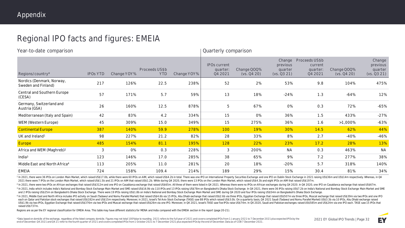# Regional IPO facts and figures: EMEIA

| Year-to-date comparison                          |                 |             |                              |             |                                            | Quarterly comparison       |                                              |                                                  |                            |                                              |  |  |  |
|--------------------------------------------------|-----------------|-------------|------------------------------|-------------|--------------------------------------------|----------------------------|----------------------------------------------|--------------------------------------------------|----------------------------|----------------------------------------------|--|--|--|
| Regions/country*                                 | <b>IPOS YTD</b> | Change YOY% | Proceeds US\$b<br><b>YTD</b> | Change YOY% | <b>IPOs current</b><br>quarter:<br>Q4 2021 | Change QOQ%<br>(vs. Q4 20) | Change<br>previous<br>quarter<br>(vs. Q3 21) | Proceeds US\$b<br>current<br>quarter:<br>Q4 2021 | Change QOQ%<br>(vs. Q4 20) | Change<br>previous<br>quarter<br>(vs. Q3 21) |  |  |  |
| Nordics (Denmark, Norway,<br>Sweden and Finland) | 217             | 126%        | 22.5                         | 238%        | 52                                         | 2%                         | 53%                                          | 9.8                                              | 104%                       | 475%                                         |  |  |  |
| Central and Southern Europe<br>(CESA)            | 57              | 171%        | 5.7                          | 59%         | 13                                         | 18%                        | $-24%$                                       | 1.3                                              | $-64%$                     | 12%                                          |  |  |  |
| Germany, Switzerland and<br>Austria (GSA)        | 26              | 160%        | 12.5                         | 878%        | 5                                          | 67%                        | O%                                           | 0.3                                              | 72%                        | $-65%$                                       |  |  |  |
| Mediterranean (Italy and Spain)                  | 42              | 83%         | 4.2                          | 334%        | 15                                         | O%                         | 36%                                          | 1.5                                              | 433%                       | $-27%$                                       |  |  |  |
| WEM (Western Europe)                             | 45              | 309%        | 15.0                         | 349%        | 15                                         | 275%                       | 36%                                          | 1.6                                              | $>1,000\%$                 | $-63%$                                       |  |  |  |
| <b>Continental Europe</b>                        | 387             | 140%        | 59.9                         | 278%        | 100                                        | 19%                        | 30%                                          | 14.5                                             | 62%                        | 44%                                          |  |  |  |
| UK and Ireland <sup>1</sup>                      | 98              | 227%        | 21.2                         | 82%         | 28                                         | 33%                        | 8%                                           | 2.7                                              | $-40%$                     | -46%                                         |  |  |  |
| <b>Europe</b>                                    | 485             | 154%        | 81.1                         | 195%        | 128                                        | 22%                        | 23%                                          | 17.2                                             | 28%                        | 13%                                          |  |  |  |
| Africa and WEM (Maghreb) <sup>2</sup>            | 3               | O%          | 0.3                          | 228%        | 3                                          | 200%                       | <b>NA</b>                                    | 0.3                                              | 463%                       | <b>NA</b>                                    |  |  |  |
| Indi $a3$                                        | 123             | 146%        | 17.0                         | 285%        | 38                                         | 65%                        | 9%                                           | 7.2                                              | 277%                       | 38%                                          |  |  |  |
| Middle East and North Africa <sup>4</sup>        | 113             | 205%        | 11.0                         | 281%        | 20                                         | 18%                        | $-20%$                                       | 5.7                                              | 318%                       | 140%                                         |  |  |  |
| <b>EMEIA</b>                                     | 724             | 158%        | 109.4                        | 214%        | 189                                        | 29%                        | 15%                                          | 30.4                                             | 81%                        | 34%                                          |  |  |  |

1 In 2021, there were 36 IPOs on London Main Market, which raised US\$17.0b, while there were 60 IPOs on AIM, which raised US\$4.2b in total. There was one IPO on International Property Securities Exchange and one IPO on Dub 2021 there were 7 IPOs on the London Main Market, which raised US\$1.5b and 21 IPOs on AIM that raised US\$1.2b. While during Q4 2020, there were 13 IPOs on the London Main Market, which raised US\$4.3b and eight IPOs on AIM

<sup>2</sup> In 2021, there were two IPOs on African exchanges that raised US\$312m and one IPO on Casablanca exchange that raised US\$65m. All three of them were listed in Q4 2021. Whereas there were no IPOs on African exchanges dur 3 In 2021, India which includes India's National and Bombay Stock Exchange Main Market and SME raised US\$16.9b via 110 IPOs and 13 IPOs raising US\$78m on Bangladesh's Dhaka Stock Exchange. In Q4 2021, there were 36 IPOs ra and 2 IPOs raising US\$25m on Bangladesh's Dhaka Stock Exchange. There were 19 IPOs raising US\$1.8b on India's National and Bombay Stock Exchange Main Market and SME during Q4 2020 and four IPOs raising US\$54m on Bangladesh

4 In 2021, Middle East and North Africa includes IPO activity on Saudi (Tadawul and Nomu Parallel Market) that raised US\$4.6b via 15 IPOs, Abu Dhabi exchange that raised US\$2.6b via three IPOs, Egyptian Exchange that raise each on Qatar and Pakistan stock exchanges that raised US\$182m and US\$15m respectively. Moreover, in 2021, Israel's Tel Aviv Stock Exchange (TASE) saw 88 IPOs which raised US\$3.0b. On a quarterly basis, Q4 2021 Saudi (Tada US\$1.9b via two IPOs, Egyptian Exchange that raised US\$376m via two IPOs and Muscat exchange that raised US\$26m via one IPO. Moreover, in Q4 2021, Israel's TASE saw five IPOs raise US\$74m. In Q4 2020, Saudi and Pakistan ex raised US\$737m.

Regions are as per the EY regional classification for EMEIA Area. This table may have different statistics for MENA and India compared with the EMEIA section in the report (page 20-21).

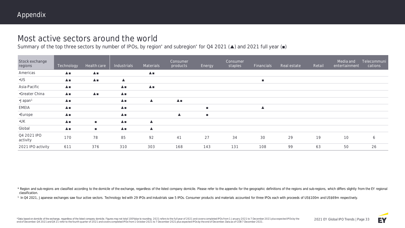# Most active sectors around the world

Summary of the top three sectors by number of IPOs, by region<sup>\*</sup> and subregion<sup>\*</sup> for Q4 2021 (▲) and 2021 full year (■)

| Stock exchange<br>regions | Technology                 | Health care        | Industrials                   | Materials        | Consumer<br>products | Energy         | Consumer<br>staples | Financials       | Real estate | Retail | Media and<br>entertainment | Telecommuni<br>cations |
|---------------------------|----------------------------|--------------------|-------------------------------|------------------|----------------------|----------------|---------------------|------------------|-------------|--------|----------------------------|------------------------|
| Americas                  | $\triangle$ $\blacksquare$ | $\blacktriangle$ . |                               | $\blacktriangle$ |                      |                |                     |                  |             |        |                            |                        |
| $\cdot$ US                | $\blacktriangle$           | $\triangle$        | $\blacktriangle$              |                  |                      |                |                     | п                |             |        |                            |                        |
| Asia-Pacific              | $\blacktriangle$           |                    | $\triangle$                   | $\blacktriangle$ |                      |                |                     |                  |             |        |                            |                        |
| •Greater China            | $\triangle$                | ▲■                 | $\triangle$                   |                  |                      |                |                     |                  |             |        |                            |                        |
| ·Japan <sup>1</sup>       | $\blacktriangle$           |                    | $\triangle$                   | $\blacktriangle$ | $\blacktriangle$     |                |                     |                  |             |        |                            |                        |
| <b>EMEIA</b>              | $\triangle$                |                    | $\triangle$                   |                  |                      | $\blacksquare$ |                     | $\blacktriangle$ |             |        |                            |                        |
| •Europe                   | $\blacktriangle$           |                    | $\triangle$                   |                  | $\blacktriangle$     | $\blacksquare$ |                     |                  |             |        |                            |                        |
| $\cdot$ UK                | $\blacktriangle$ .         | п.                 | $\triangle$                   | ▲                |                      |                |                     |                  |             |        |                            |                        |
| Global                    | $\blacktriangle$           | $\mathbf{r}$       | $\blacktriangle \blacksquare$ | ▲                |                      |                |                     |                  |             |        |                            |                        |
| Q4 2021 IPO<br>activity   | 170                        | 78                 | 85                            | 92               | 41                   | 27             | 34                  | 30               | 29          | 19     | 10                         | 6                      |
| 2021 IPO activity         | 611                        | 376                | 310                           | 303              | 168                  | 143            | 131                 | 108              | 99          | 63     | 50                         | 26                     |

\* Region and sub-regions are classified according to the domicile of the exchange, regardless of the listed company domicile. Please refer to the appendix for the geographic definitions of the regions and sub-regions, whic classification.

<sup>1</sup> In Q4 2021, Japanese exchanges saw four active sectors. Technology led with 29 IPOs and industrials saw 5 IPOs. Consumer products and materials accounted for three IPOs each with proceeds of US\$100m and US\$69m respecti

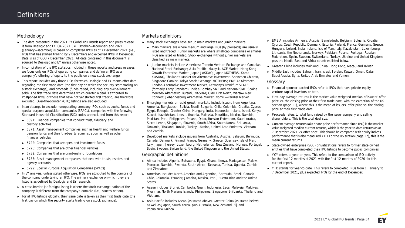#### **Methodology**

- ► The data presented in the *2021 EY Global IPO Trends* report and press release is from Dealogic and EY. Q4 2021 (i.e., October—December) and 2021 (January—December) is based on completed IPOs as of 7 December 2021 (i.e., IPOs that has started trading by 9 December) and expected IPOs in December. Data is as of COB 7 December 2021. All data contained in this document is sourced to Dealogic and EY unless otherwise noted.
- ► In compilation of the IPO statistics included in these reports and press releases, we focus only on **IPOs of operating companies** and define an IPO as a **company's offering of equity to the public on a new stock exchange.**
- ► This report includes only those IPOs for which Dealogic and EY teams offer data regarding the first trade date (the first day on which the security start trading on a stock exchange), and proceeds (funds raised, including any over-allotment sold). The first trade date determines which quarter a deal is attributed to. Postponed IPOs, or those that have not yet started first trading, are therefore excluded. Over-the-counter (OTC) listings are also excluded.
- ► In an attempt to exclude nonoperating company IPOs such as trusts, funds and special purpose acquisition companies (SPACs), companies with the following Standard Industrial Classification (SIC) codes are excluded from this report:
	- ► 6091: Financial companies that conduct trust, fiduciary and custody activities
	- ► 6371: Asset management companies such as health and welfare funds, pension funds and their third-party administration as well as other financial vehicles
	- ► 6722: Companies that are open-end investment funds
	- ► 6726: Companies that are other financial vehicles
	- ► 6732: Companies that are grant-making foundations
	- ► 6733: Asset management companies that deal with trusts, estates and agency accounts
	- ► 6799: Special Purpose Acquisition Companies (SPACs)
- ► In EY analysis, unless stated otherwise, IPOs are attributed to the domicile of the company undertaking an IPO. The primary exchange on which they are listed is as defined by Dealogic and EY research.
- ► A cross-border (or foreign) listing is where the stock exchange nation of the company is different from the company's domicile (i.e., issuer's nation).
- ► For all IPO listings globally, their issue date is taken as their first trade date (the first day on which the security starts trading on a stock exchange).

#### **Markets definitions**

- ► Many stock exchanges have set up **main markets and junior markets:**
	- ► **Main markets** are where medium and large IPOs (by proceeds) are usually listed and traded. **Junior markets** are where small-cap companies or smaller IPOs are listed or traded. Stock exchanges without junior markets are classified as main markets.
	- ► **Junior markets** include **Americas:** Toronto Venture Exchange and Canadian National Stock Exchange; **Asia-Pacific:** Malaysia ACE Market, Hong Kong Growth Enterprise Market, Japan JASDAQ, Japan MOTHERS, Korea KOSDAQ, Thailand's Market for Alternative Investment, Shenzhen ChiNext, Singapore Catalist, Tokyo Stock Exchange MOTHERS; **EMEIA:** Alternext, London Alternative Investment Market, Germany's Frankfurt SCALE (formerly Entry Standard), India's Bombay SME and National SME, Spain's Mercado Alternativo Bursatil, NASDAQ OMX First North, Warsaw New Connect, Johannesburg Alternative Market, Nomu — Parallel Market.
- ► **Emerging markets or rapid-growth markets** include issuers from Argentina, Armenia, Bangladesh, Bolivia, Brazil, Bulgaria, Chile, Colombia, Croatia, Cyprus, Egypt, Ethiopia, Greater China, Hungary, India, Indonesia, Ireland, Israel, Kenya, Kuwait, Kazakhstan, Laos, Lithuania, Malaysia, Mauritius, Mexico, Namibia, Pakistan, Peru, Philippines, Poland, Qatar, Russian Federation, Saudi Arabia, Sierra Leone, Singapore, Slovenia, South Africa, South Korea, Sri Lanka, Tanzania, Thailand, Tunisia, Turkey, Ukraine, United Arab Emirates, Vietnam and Zambia.
- ► **Developed markets** include issuers from Australia, Austria, Belgium, Bermuda, Canada, Denmark, Finland, France, Germany, Greece, Guernsey, Isle of Man, Italy, Japan, Jersey, Luxembourg, Netherlands, New Zealand, Norway, Portugal, Spain, Sweden, Switzerland, the United Kingdom and the United States.

#### **Geographic definitions**

- ► **Africa** includes Algeria, Botswana, Egypt, Ghana, Kenya, Madagascar, Malawi, Morocco, Namibia, Rwanda, South Africa, Tanzania, Tunisia, Uganda, Zambia and Zimbabwe.
- ► **Americas** includes North America and Argentina, Bermuda, Brazil, Canada Chile, Colombia, Ecuador, Jamaica, Mexico, Peru, Puerto Rico and the United States.
- ► **Asean** includes Brunei, Cambodia, Guam, Indonesia, Laos, Malaysia, Maldives, Myanmar, North Mariana Islands, Philippines, Singapore, Sri Lanka, Thailand and Vietnam.
- ► **Asia-Pacific** includes Asean (as stated above), Greater China (as stated below), as well as Japan, South Korea, plus Australia, New Zealand, Fiji and Papua New Guinea.
- ► **EMEIA** includes Armenia, Austria, Bangladesh, Belgium, Bulgaria, Croatia, Cyprus, Czech Republic, Denmark, Estonia, Finland, France, Germany, Greece, Hungary, Iceland, India, Ireland, Isle of Man, Italy, Kazakhstan, Luxembourg, Lithuania, the Netherlands, Norway, Pakistan, Poland, Portugal, Russian Federation, Spain, Sweden, Switzerland, Turkey, Ukraine and United Kingdom plus the Middle East and Africa countries listed below.
- ► **Greater China** includes Mainland China, Hong Kong, Macau and Taiwan.
- ► **Middle East** includes Bahrain, Iran, Israel, Jordan, Kuwait, Oman, Qatar, Saudi Arabia, Syria, United Arab Emirates and Yemen.

#### **Glossary**

- ► **Financial sponsor-backed IPOs** refer to IPOs that have private equity, venture capital investors or both.
- ► **First-day average returns** is the market value weighted median of issuers' offer price vs. the closing price at their first trade date, with the exception of the US section (page 11), where this is the mean of issuers' offer price vs. the closing price at their first trade date.
- ► **Proceeds** refers to total fund raised by the issuer company and selling shareholders. This is the total deal size.
- ► **Current average returns (aka share price performance since IPO)** is the market value weighted median current returns, which is the year-to-date returns as at 7 December 2021 vs. offer price. This should be compared with equity indices performance that is also measured YTD. For the US section (page 12), this is the mean current returns.
- ► **State-owned enterprise (SOE) privatizations** refers to former state-owned entities that have completed their IPO listings to become public companies.
- ► **YOY** refers to year-on-year. This refers to the comparison of IPO activity for the first 12 months of 2021 with the first 12 months of 2020 for this current report.
- ► **YTD** stands for year-to-date. This refers to completed IPOs from 1 January to 7 December 2021, plus expected IPOs by the end of December.